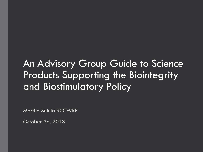# An Advisory Group Guide to Science Products Supporting the Biointegrity and Biostimulatory Policy

Martha Sutula SCCWRP

October 26, 2018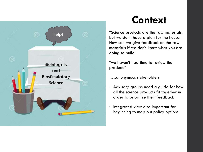

# **Context**

"Science products are the raw materials, but we don't have a plan for the house. How can we give feedback on the raw materials if we don't know what you are doing to build"

"we haven't had time to review the products"

….anonymous stakeholders

- Advisory groups need a guide for how all the science products fit together in order to prioritize their feedback
- Integrated view also important for beginning to map out policy options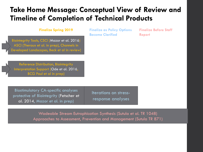### **Take Home Message: Conceptual View of Review and Timeline of Completion of Technical Products**

#### **Finalize Spring 2019**

Biointegrity Tools, CSCI (Mazor et al. 2016) ASCI (Theroux et al. in prep), Channels in Developed Landscapes, Beck et al in review) **Finalize as Policy Options Become Clarified**

**Finalize Before Staff Report**

Reference Distribution, Biointegrity Interpretation Support (Ode et al. 2016, BCG Paul et al in prep)

Biostimulatory CA-specific analyses protective of Biointegrity (Fetscher et al. 2014, Mazor et al. in prep)

Iterations on stressresponse analyses

Wadeable Stream Eutrophication Synthesis (Sutula et al. TR 1048) Approaches to Assessment, Prevention and Management (Sutula TR 871)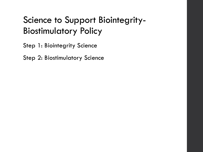## Science to Support Biointegrity-Biostimulatory Policy

Step 1: Biointegrity Science

Step 2: Biostimulatory Science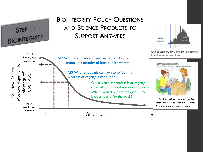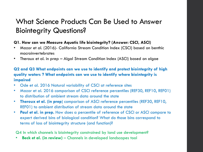### What Science Products Can Be Used to Answer Biointegrity Questions?

#### **Q1. How can we Measure Aquatic life biointegrity? (Answer: CSCI, ASCI)**

- Mazor et al. (2016)- California Stream Condition Index (CSCI) based on benthic macroinvertebrates
- Theroux et al. in prep Algal Stream Condition Index (ASCI) based on algae

#### **Q2 and Q3 What endpoints can we use to identify and protect biointegrity of high quality waters ? What endpoints can we use to identify where biointegrity is impaired**

- Ode et al. 2016 Natural variability of CSCI at reference sites
- Mazor et al. 2016 comparison of CSCI reference percentiles (REF30, REF10, REF01) to distribution of ambient stream data around the state
- **Theroux et al. (in prep**) comparison of ASCI reference percentiles (REF30, REF10, REF01) to ambient distribution of stream data around the state
- **Paul et al. in prep.** How does a percentile of reference of CSCI or ASCI compare to expert derived bins of biological condition? What do those bins correspond to terms of loss of biointegrity structure (and function)?

Q4 In which channels is biointegrity constrained by land use development?

• **Beck et al. (in review)** – Channels in developed landscapes tool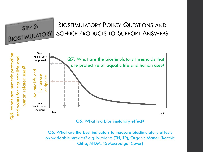BIOSTIMULATORY POLICY QUESTIONS AND BIOSTIMULATORY SCIENCE PRODUCTS TO SUPPORT ANSWERS



STEP 2:

Q5. What is a biostimulatory effect?

Q6. What are the best indicators to measure biostimulatory effects on wadeable streams? e.g. Nutrients (TN, TP), Organic Matter (Benthic Chl-a, AFDM, % Macroalgal Cover)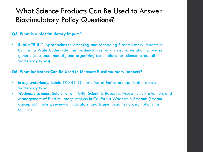#### **Q5. What is a biostimulatory impact?**

• **Sutula TR 841** Approaches to Assessing and Managing Biostimulatory Impacts in California Waterbodies (defines biostimulatory vis a vis eutrophication, provides generic conceptual models, and organizing assumptions for science across all waterbody types)

#### **Q6. What Indicators Can Be Used to Measure Biostimulatory Impacts?**

- *In any waterbody:* Sutula TR 841. Generic lists of indicators applicable across waterbody type
- *Wadeable streams***:** Sutula et al. 1048. Scientific Bases for Assessment, Prevention, and Management of Biostimulatory Impacts in California Wadeable Streams (stream conceptual models, review of indicators, and [same] organizing assumptions for science)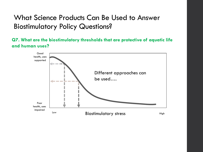**Q7. What are the biostimulatory thresholds that are protective of aquatic life and human uses?**

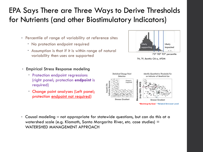### EPA Says There are Three Ways to Derive Thresholds for Nutrients (and other Biostimulatory Indicators)

- Percentile of range of variability at reference sites
	- No protection endpoint required
	- Assumption is that if it is within range of natural variability then uses are supported
- Empirical Stress Response modeling
	- Protection endpoint regressions (right panel; protection **endpoint** is required)
	- Change point analyses (Left panel; protection endpoint not required)





• Causal modeling – not appropriate for statewide questions, but can do this at a watershed scale (e.g. Klamath, Santa Margarita River, etc. case studies) = WATERSHED MANAGEMENT APPROACH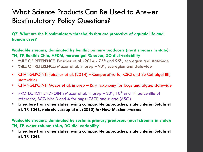**Q7. What are the biostimulatory thresholds that are protective of aquatic life and human uses?**

**Wadeable streams, dominated by benthic primary producers (most streams in state): TN, TP, Benthic Chla, AFDM, macroalgal % cover, DO diel variability**

- %ILE OF REFERENCE: Fetscher et al. (2014)- 75<sup>th</sup> and 95<sup>th</sup>, ecoregion and statewide
- %ILE OF REFERENCE: Mazor et al. in prep 90<sup>th</sup>, ecoregion and statewide
- CHANGEPOINT: Fetscher et al. (2014) Comparative for CSCI and So Cal algal IBI, statewide)
- CHANGEPOINT: Mazor et al. in prep Raw taxonomy for bugs and algae, statewide
- PROTECTION ENDPOINT: Mazor et al. in prep  $-30<sup>th</sup>$ , 10<sup>th</sup> and 1<sup>st</sup> percentile of reference, BCG bins 3 and 4 for bugs (CSCI) and algae (ASCI)
- **Literature from other states, using comparable approaches, state criteria: Sutula et al. TR 1048, notably Jessup et al. (2015) for New Mexico streams**

**Wadeable streams, dominated by sestonic primary producers (most streams in state): TN, TP, water column chl-a, DO diel variability**

• **Literature from other states, using comparable approaches, state criteria: Sutula et al. TR 1048**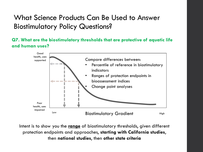**Q7. What are the biostimulatory thresholds that are protective of aquatic life and human uses?**



Intent is to show you the **range** of biostimulatory thresholds, given different protection endpoints and approaches, **starting with California studies**, then **national studies**, then **other state criteria**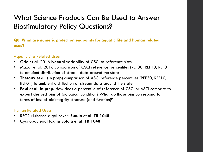**Q8. What are numeric protection endpoints for aquatic life and human related uses?**

#### Aquatic Life Related Uses:

- Ode et al. 2016 Natural variability of CSCI at reference sites
- Mazor et al. 2016 comparison of CSCI reference percentiles (REF30, REF10, REF01) to ambient distribution of stream data around the state
- **Theroux et al. (in prep**) comparison of ASCI reference percentiles (REF30, REF10, REF01) to ambient distribution of stream data around the state
- **Paul et al. in prep.** How does a percentile of reference of CSCI or ASCI compare to expert derived bins of biological condition? What do those bins correspond to terms of loss of biointegrity structure (and function)?

#### Human Related Uses:

- REC2 Nuisance algal cover: **Sutula et al. TR 1048**
- Cyanobacterial toxins: **Sutula et al. TR 1048**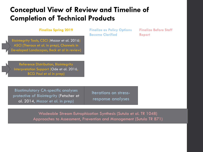### **Conceptual View of Review and Timeline of Completion of Technical Products**

#### **Finalize Spring 2019**

Biointegrity Tools, CSCI (Mazor et al. 2016) ASCI (Theroux et al. in prep), Channels in Developed Landscapes, Beck et al in review) **Finalize as Policy Options Become Clarified**

**Finalize Before Staff Report**

Reference Distribution, Biointegrity Interpretation Support (Ode et al. 2016, BCG Paul et al in prep)

Biostimulatory CA-specific analyses protective of Biointegrity (Fetscher et al. 2014, Mazor et al. in prep)

Iterations on stressresponse analyses

Wadeable Stream Eutrophication Synthesis (Sutula et al. TR 1048) Approaches to Assessment, Prevention and Management (Sutula TR 871)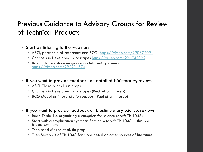#### Previous Guidance to Advisory Groups for Review of Technical Products

- Start by listening to the webinars
	- ASCI, percentile of reference and BCG <https://vimeo.com/290372091>
	- Channels in Developed Landscapes<https://vimeo.com/291742322>
	- Biostimulatory stress-response models and syntheses <https://vimeo.com/292211374>
- If you want to provide feedback on detail of biointegrity, review:
	- ASCI: Theroux et al. (in prep)
	- Channels in Developed Landscapes (Beck et al. in prep)
	- BCG Model as interpretation support (Paul et al. in prep)
- If you want to provide feedback on biostimulatory science, review:
	- Read Table 1.4 organizing assumption for science (draft TR 1048)
	- Start with eutrophication synthesis Section 4 (draft TR 1048)—this is a broad summary
	- Then read Mazor et al. (in prep)
	- Then Section 3 of TR 1048 for more detail on other sources of literature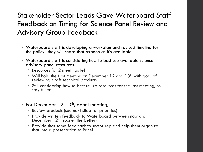### Stakeholder Sector Leads Gave Waterboard Staff Feedback on Timing for Science Panel Review and Advisory Group Feedback

- Waterboard staff is developing a workplan and revised timeline for the policy- they will share that as soon as it's available
- Waterboard staff is considering how to best use available science advisory panel resources.
	- Resources for 2 meetings left
	- Will hold the first meeting on December 12 and  $13<sup>th</sup>$  with goal of reviewing draft technical products
	- Still considering how to best utilize resources for the last meeting, so stay tuned.
- For December 12-13<sup>th</sup>, panel meeting,
	- Review products (see next slide for priorities)
	- Provide written feedback to Waterboard between now and December  $12<sup>th</sup>$  (sooner the better)
	- Provide that same feedback to sector rep and help them organize that into a presentation to Panel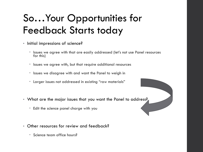# So…Your Opportunities for Feedback Starts today

- Initial impressions of science?
	- Issues we agree with that are easily addressed (let's not use Panel resources for this)
	- $\cdot$  Issues we agree with, but that require additional resources
	- Issues we disagree with and want the Panel to weigh in
	- Larger issues not addressed in existing "raw materials"
- What are the major issues that you want the Panel to address?
	- Edit the science panel charge with you
- Other resources for review and feedback?
	- Science team office hours?